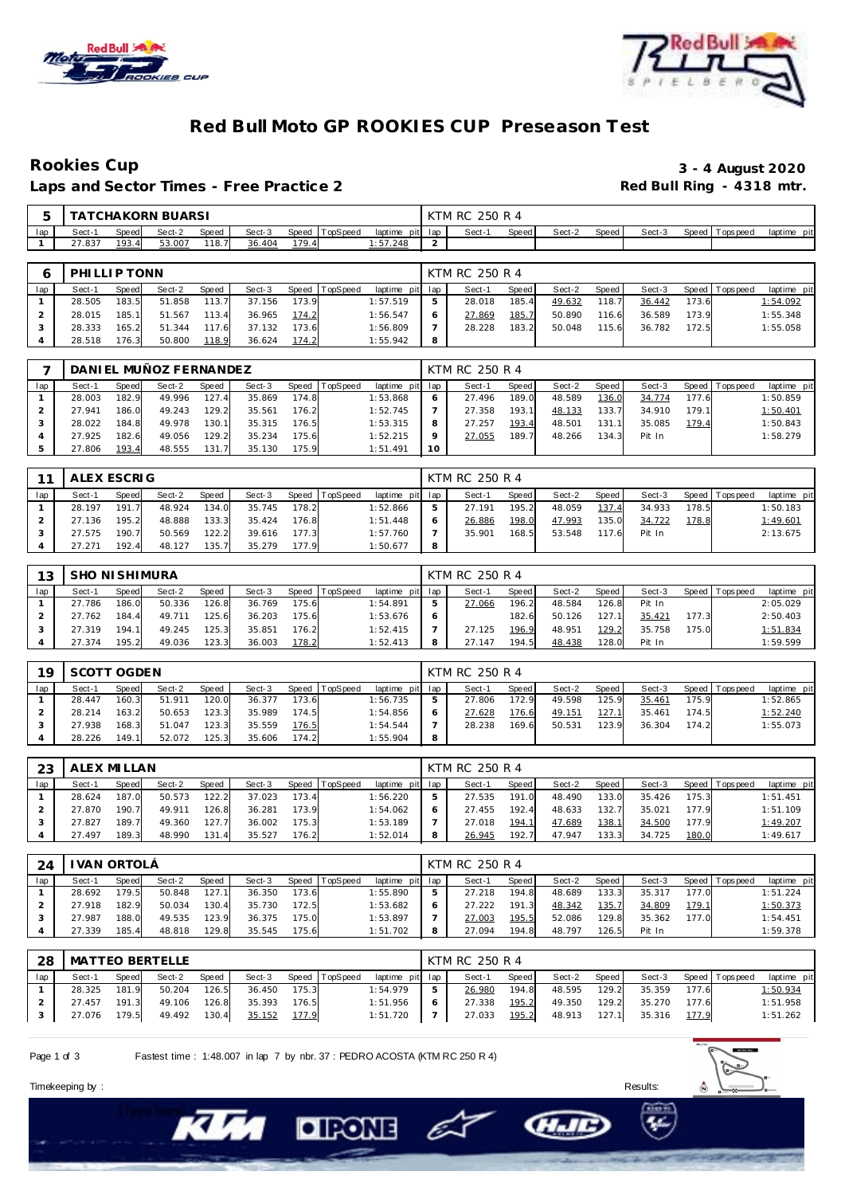



### **Red Bull Moto GP ROOKIES CUP Preseason Test**

Laps and Sector Times - Free Practice 2

# Rookies Cup<br>
1992 - 3 - 4 August 2020<br>
Red Bull Ring - 4318 mtr.

|     | . A - |                  | CHAKORN BUARSI |              |        |       |                |         |         | KTM RC<br>250 R 4 |              |        |       |        |                 |             |
|-----|-------|------------------|----------------|--------------|--------|-------|----------------|---------|---------|-------------------|--------------|--------|-------|--------|-----------------|-------------|
| lap | Sect- | Speed            | Sect-2         | <b>Speed</b> | Sect-3 |       | Speed TopSpeed | laptime | pit lap | Sect-             | <b>Speed</b> | Sect-2 | Speed | Sect-3 | Speed Tops peed | laptime pit |
|     | .837  | 193.<br>$\Delta$ | 53.007         | 18.1         | 36.404 | 179.4 |                | :57.248 |         |                   |              |        |       |        |                 |             |

|     | PHILLIP TONN |       |        |       |        |       |                  |                 | KTM RC 250 R 4 |         |        |         |        |       |                 |             |
|-----|--------------|-------|--------|-------|--------|-------|------------------|-----------------|----------------|---------|--------|---------|--------|-------|-----------------|-------------|
| lap | Sect-1       | Speed | Sect-2 | Speed | Sect-3 |       | Speed   TopSpeed | laptime pit lap | Sect-1         | Speed I | Sect-2 | Speed I | Sect-3 |       | Speed Tops peed | laptime pit |
|     | 28.505       | 183.5 | 51.858 | 113.7 | 37.156 | 173.9 |                  | 1:57.519        | 28.018         | 185.4   | 49.632 | 118.7   | 36.442 | 173.6 |                 | 1:54.092    |
|     | 28.015       | 185.1 | 51.567 | 113.4 | 36.965 | 174.2 |                  | 1:56.547        | 27.869         | 185.7   | 50.890 | 116.6   | 36.589 | 173.9 |                 | 1:55.348    |
|     | 28.333       | 165.2 | 51.344 | 117.6 | 37.132 | 173.6 |                  | 1:56.809        | 28.228         | 183.2   | 50.048 | 115.6   | 36.782 | 172.5 |                 | 1:55.058    |
|     | 28.518       | 176.3 | 50.800 | 118.9 | 36.624 | 174.2 |                  | 1:55.942        |                |         |        |         |        |       |                 |             |

|        |       | DANIEL MUÑOZ FERNANDEZ |       |        |       |          |                 |                 | KTM RC 250 R 4 |       |        |       |        |       |                 |             |
|--------|-------|------------------------|-------|--------|-------|----------|-----------------|-----------------|----------------|-------|--------|-------|--------|-------|-----------------|-------------|
| Sect-1 | Speed | Sect-2                 | Speed | Sect-3 | Speed | TopSpeed | laptime pit lap |                 | Sect-1         | Speed | Sect-2 | Speed | Sect-3 |       | Speed Tops peed | laptime pit |
| 28.003 | 182.9 | 49.996                 | 127.4 | 35.869 | 174.8 |          | 1:53.868        |                 | 27.496         | 189.0 | 48.589 | 136.0 | 34.774 | 177.6 |                 | 1:50.859    |
| 27.941 | 186.0 | 49.243                 | 129.2 | 35.561 | 176.2 |          | 1:52.745        |                 | 27.358         | 193.1 | 48.133 | 133.7 | 34.910 | 179.1 |                 | 1:50.401    |
| 28.022 | 184.8 | 49.978                 | 130.1 | 35.315 | 176.5 |          | 1:53.315        | 8               | 27.257         | 193.4 | 48.501 | 131.1 | 35.085 | 179.4 |                 | 1:50.843    |
| 27.925 | 182.6 | 49.056                 | 129.2 | 35.234 | 175.6 |          | 1:52.215        |                 | 27.055         | 189.7 | 48.266 | 134.3 | Pit In |       |                 | 1:58.279    |
| 27.806 | 193.4 | 48.555                 | 131.7 | 35.130 | 175.9 |          | 1:51.491        | 10 <sup>°</sup> |                |       |        |       |        |       |                 |             |

| 11  | ALEX ESCRIG |       |        |       |        |       |                |                 |   | KTM RC 250 R 4 |       |        |        |        |       |                 |             |
|-----|-------------|-------|--------|-------|--------|-------|----------------|-----------------|---|----------------|-------|--------|--------|--------|-------|-----------------|-------------|
| lap | Sect-1      | Speed | Sect-2 | Speed | Sect-3 |       | Speed TopSpeed | laptime pit lap |   | Sect-1         | Speed | Sect-2 | Speed. | Sect-3 |       | Speed Tops peed | laptime pit |
|     | 28.197      | 191.7 | 48.924 | 134.0 | 35.745 | 178.2 |                | :52.866         | 5 | 27.191         | 195.2 | 48.059 | 137.4  | 34.933 | 178.5 |                 | 1:50.183    |
|     | 27.136      | 195.2 | 48.888 | 133.3 | 35.424 | 176.8 |                | 1:51.448        | O | 26.886         | 198.0 | 47.993 | 135.0  | 34.722 | 178.8 |                 | 1:49.601    |
|     | 27.575      | 190.7 | 50.569 | 122.2 | 39.616 | 177.3 |                | 1:57.760        |   | 35.901         | 168.5 | 53.548 | 117.6  | Pit In |       |                 | 2:13.675    |
|     | 27.271      | 192.4 | 48.127 | 135.7 | 35.279 | 177.9 |                | 1:50.677        | 8 |                |       |        |        |        |       |                 |             |

| 13  | <b>SHO NI SHIMURA</b> |       |        |       |        |       |                |                 | KTM RC 250 R 4 |       |        |       |        |       |                |             |
|-----|-----------------------|-------|--------|-------|--------|-------|----------------|-----------------|----------------|-------|--------|-------|--------|-------|----------------|-------------|
| lap | Sect-1                | Speed | Sect-2 | Speed | Sect-3 |       | Speed TopSpeed | laptime pit lap | Sect-1         | Speed | Sect-2 | Speed | Sect-3 |       | Speed Topspeed | laptime pit |
|     | 27.786                | 186.0 | 50.336 | 126.8 | 36.769 | 175.6 |                | 1:54.891        | 27.066         | 196.2 | 48.584 | 126.8 | Pit In |       |                | 2:05.029    |
|     | 27.762                | 184.4 | 49.711 | 125.6 | 36.203 | 175.6 |                | 1:53.676        |                | 182.6 | 50.126 | 127.1 | 35.421 | 177.3 |                | 2:50.403    |
|     | 27.319                | 194.1 | 49.245 | 125.3 | 35.851 | 176.2 |                | 1:52.415        | 27.125         | 196.9 | 48.951 | 129.2 | 35.758 | 175.0 |                | 1:51.834    |
|     | 27.374                | 195.2 | 49.036 | 123.3 | 36.003 | 178.2 |                | 1:52.413        | 27.147         | 194.5 | 48.438 | 128.0 | Pit In |       |                | 1:59.599    |

| 19  | SCOTT OGDEN |       |        |       |        |       |                |             |     | KTM RC 250 R 4 |       |        |         |        |       |                 |             |
|-----|-------------|-------|--------|-------|--------|-------|----------------|-------------|-----|----------------|-------|--------|---------|--------|-------|-----------------|-------------|
| lap | Sect-1      | Speed | Sect-2 | Speed | Sect-3 |       | Speed TopSpeed | laptime pit | lap | Sect-1         | Speed | Sect-2 | Speed i | Sect-3 |       | Speed Tops peed | laptime pit |
|     | 28.447      | 160.3 | 51.911 | 120.0 | 36.377 | 173.6 |                | 1:56.735    | ь   | 27.806         | 172.9 | 49.598 | 125.9   | 35.461 | 175.9 |                 | 1:52.865    |
|     | 28.214      | 163.2 | 50.653 | 123.3 | 35.989 | 174.5 |                | 1:54.856    | O   | 27.628         | 176.6 | 49.151 | 127.1   | 35.461 | 174.5 |                 | 1:52.240    |
|     | 27.938      | 168.3 | 51.047 | 123.3 | 35.559 | 176.5 |                | 1:54.544    |     | 28.238         | 169.6 | 50.531 | 123.9   | 36.304 | 174.2 |                 | 1:55.073    |
|     | 28.226      | 149.1 | 52.072 | 125.3 | 35.606 | 174.2 |                | 1:55.904    | 8   |                |       |        |         |        |       |                 |             |

| 23  | ALEX MI LLAN |       |        |       |        |       |          |                 |   | KTM RC 250 R 4 |       |        |       |        |       |                 |             |
|-----|--------------|-------|--------|-------|--------|-------|----------|-----------------|---|----------------|-------|--------|-------|--------|-------|-----------------|-------------|
| lap | Sect-1       | Speed | Sect-2 | Speed | Sect-3 | Speed | TopSpeed | laptime pit lap |   | Sect-1         | Speed | Sect-2 | Speed | Sect-3 |       | Speed Tops peed | laptime pit |
|     | 28.624       | 187.0 | 50.573 | 122.2 | 37.023 | 173.4 |          | 1:56.220        | 5 | 27.535         | 191.0 | 48.490 | 133.0 | 35.426 | 175.3 |                 | 1:51.451    |
|     | 27.870       | 190.7 | 49.911 | 126.8 | 36.281 | 173.9 |          | 1:54.062        | 6 | 27.455         | 192.4 | 48.633 | 132.7 | 35.021 | 177.9 |                 | 1:51.109    |
|     | 27.827       | 189.7 | 49.360 | 127.7 | 36.002 | 175.3 |          | 1:53.189        |   | 27.018         | 194.1 | 47.689 | 138.1 | 34.500 | 177.9 |                 | 1:49.207    |
|     | 27.497       | 189.3 | 48.990 | 131.4 | 35.527 | 176.2 |          | 1:52.014        | 8 | 26.945         | 192.7 | 47.947 | 133.3 | 34.725 | 180.0 |                 | 1:49.617    |

| 24  |        | VAN ORTOLA   |        |       |        |       |                |             |     | KTM RC 250 R 4 |              |        |       |        |       |                 |             |
|-----|--------|--------------|--------|-------|--------|-------|----------------|-------------|-----|----------------|--------------|--------|-------|--------|-------|-----------------|-------------|
| lap | Sect-1 | <b>Speed</b> | Sect-2 | Speed | Sect-3 |       | Speed TopSpeed | laptime pit | lap | Sect-1         | <b>Speed</b> | Sect-2 | Speed | Sect-3 |       | Speed Tops peed | laptime pit |
|     | 28.692 | 179.5        | 50.848 | 127.1 | 36.350 | 173.6 |                | 1:55.890    | ь   | 27.218         | 194.8        | 48.689 | 133.3 | 35.317 | 177.0 |                 | 1:51.224    |
|     | 27.918 | 182.9        | 50.034 | 130.4 | 35.730 | 172.5 |                | 1:53.682    | 6   | 27.222         | 191.3        | 48.342 | 135.7 | 34.809 | 179.1 |                 | 1:50.373    |
|     | 27.987 | 188.0        | 49.535 | 123.9 | 36.375 | 175.0 |                | 1:53.897    |     | 27.003         | 195.5        | 52.086 | 129.8 | 35.362 | 177.0 |                 | 1:54.451    |
|     | 27.339 | 185.4        | 48.818 | 129.8 | 35.545 | 175.6 |                | 1:51.702    | 8   | 27.094         | 194.8        | 48.797 | 126.5 | Pit In |       |                 | 1:59.378    |

| 28  |        |       | MATTEO BERTELLE |       |               |       |                       |                 |     | KTM RC 250 R 4 |       |        |       |        |       |                   |             |
|-----|--------|-------|-----------------|-------|---------------|-------|-----------------------|-----------------|-----|----------------|-------|--------|-------|--------|-------|-------------------|-------------|
| lap | Sect-1 | Speed | Sect-2          | Speed |               |       | Sect-3 Speed TopSpeed | laptime pit lap |     | Sect-1         | Speed | Sect-2 | Speed | Sect-3 |       | Speed   Tops peed | laptime pit |
|     | 28.325 | 181.9 | 50.204          | 126.5 | 36.450        | 175.3 |                       | 1:54.979        | -5  | 26.980         | 194.8 | 48.595 | 129.2 | 35.359 | 177.6 |                   | 1:50.934    |
|     | 27.457 | 191.3 | 49.106          | 126.8 | 35.393        | 176.5 |                       | 1:51.956        | - 6 | 27.338         | 195.2 | 49.350 | 129.2 | 35.270 | 177.6 |                   | 1:51.958    |
|     | 27.076 | 179.5 | 49.492 130.4    |       | <u>35.152</u> | 177.9 |                       | 1:51.720        |     | 27.033         | 195.2 | 48.913 | 127.1 | 35.316 | 177.9 |                   | 1:51.262    |

E

**CHAID** 

Page 1 of 3 Fastest time : 1:48.007 in lap 7 by nbr. 37 : PEDRO ACOSTA (KTM RC 250 R 4)

**DIRONE** 



Timekeeping by : Results: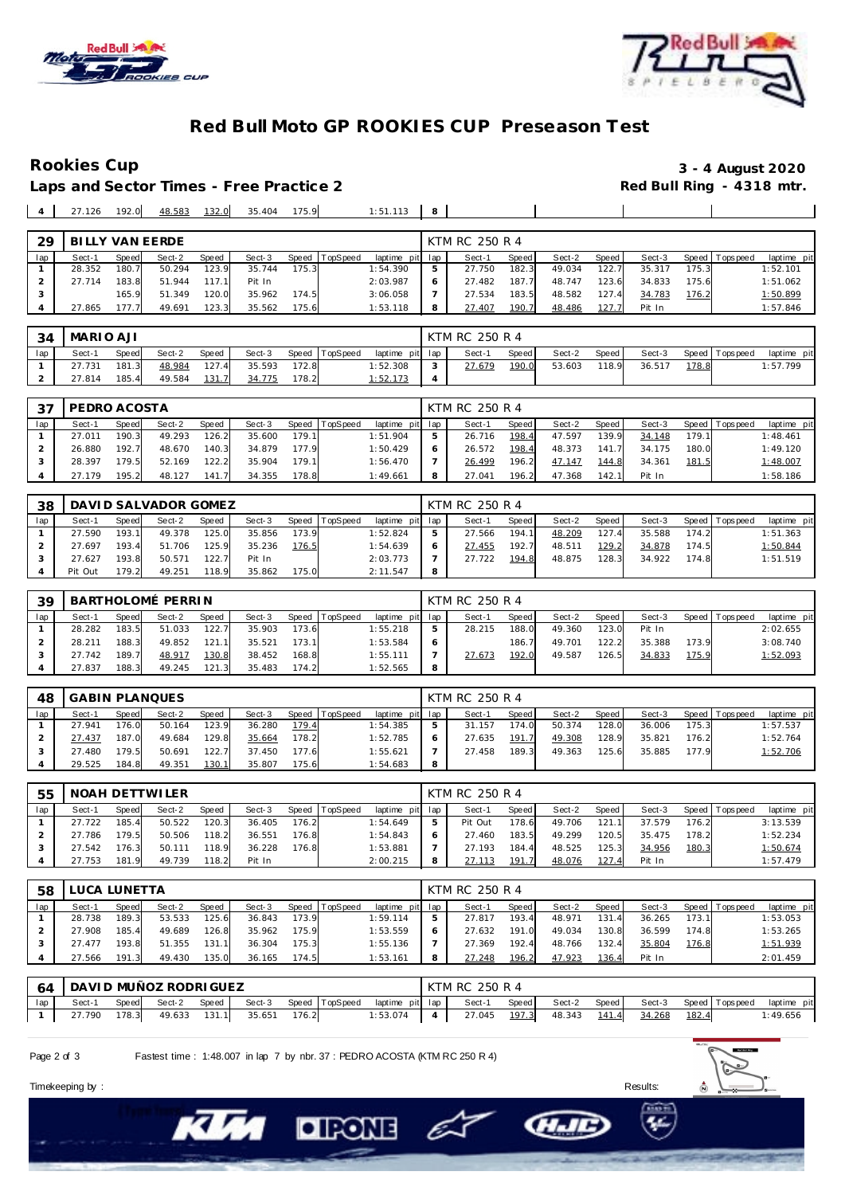



#### **Red Bull Moto GP ROOKIES CUP Preseason Test**

**Rookies Cup 3 - 4 August 2020**

 $\overline{\phantom{a}}$ 

 $\overline{\phantom{a}}$ 

Laps and Sector Times - Free Practice 2 **4 4 27.126 192.0 <u>48.583 132.0</u> 35.404 175.9** 

| $1.51113$ $8$ |  |  |
|---------------|--|--|

| 29  | BILLY VAN EERDE |              |        |              |        |       |                |                 |   | KTM RC 250 R 4 |               |        |       |        |       |                 |             |
|-----|-----------------|--------------|--------|--------------|--------|-------|----------------|-----------------|---|----------------|---------------|--------|-------|--------|-------|-----------------|-------------|
| lap | Sect-1          | <b>Speed</b> | Sect-2 | <b>Speed</b> | Sect-3 |       | Speed TopSpeed | laptime pit lap |   | Sect-1         | Speed         | Sect-2 | Speed | Sect-3 |       | Speed Tops peed | laptime pit |
|     | 28.352          | 180.7        | 50.294 | 123.9        | 35.744 | 175.3 |                | 1:54.390        | 5 | 27.750         | 182.3         | 49.034 | 122.7 | 35.317 | 175.3 |                 | 1:52.101    |
|     | 27.714          | 183.8        | 51.944 | 117.1        | Pit In |       |                | 2:03.987        | 6 | 27.482         | 187.7         | 48.747 | 123.6 | 34.833 | 175.6 |                 | 1:51.062    |
|     |                 | 165.9        | 51.349 | 120.0        | 35.962 | 174.5 |                | 3:06.058        |   | 27.534         | 183.5         | 48.582 | 127.4 | 34.783 | 176.2 |                 | 1:50.899    |
|     | 27.865          | '77.7'       | 49.691 | 123.3        | 35.562 | 175.6 |                | 1:53.118        | 8 | 27.407         | <u> 190.7</u> | 48.486 | 127.  | Pit In |       |                 | 1:57.846    |

| 34  | MARIO AJI |       |        |              |        |       |                |                 | KTM RC 250 R 4 |       |        |       |        |       |                |             |
|-----|-----------|-------|--------|--------------|--------|-------|----------------|-----------------|----------------|-------|--------|-------|--------|-------|----------------|-------------|
| lap | Sect-1    | Speed | Sect-2 | <b>Speed</b> | Sect-3 |       | Speed TopSpeed | laptime pit lap | Sect-1         | Speed | Sect-2 | Speed | Sect-3 |       | Speed Topspeed | laptime pit |
|     | 27.731    | 181.3 | 48.984 | 127.4        | 35.593 | 172.8 |                | 1:52.308        | 27.679         | 190.0 | 53.603 | 118.9 | 36.517 | 178.8 |                | 1:57.799    |
|     | 27.814    | 185.4 | 49.584 | 131.7        | 34.775 | 178.2 |                | 1:52.173        |                |       |        |       |        |       |                |             |

| - 27 | PEDRO ACOSTA |              |        |       |        |       |          |                 | KTM RC 250 R 4 |       |        |       |        |       |                |             |
|------|--------------|--------------|--------|-------|--------|-------|----------|-----------------|----------------|-------|--------|-------|--------|-------|----------------|-------------|
| lap  | Sect-1       | <b>Speed</b> | Sect-2 | Speed | Sect-3 | Speed | TopSpeed | laptime pit lap | Sect-1         | Speed | Sect-2 | Speed | Sect-3 |       | Speed Topspeed | laptime pit |
|      | 27.011       | 190.3        | 49.293 | 126.2 | 35.600 | 179.1 |          | 1:51.904        | 26.716         | 198.4 | 47.597 | 139.9 | 34.148 | 179.1 |                | 1:48.461    |
|      | 26.880       | 192.7        | 48.670 | 140.3 | 34.879 | 177.9 |          | 1:50.429        | 26.572         | 198.4 | 48.373 | 141.7 | 34.175 | 180.0 |                | 1:49.120    |
|      | 28.397       | '79.5        | 52.169 | 122.2 | 35.904 | 179.1 |          | 1:56.470        | 26.499         | 196.2 | 47.147 | 144.8 | 34.361 | 181.5 |                | 1:48.007    |
|      | 27.179       | 195.2        | 48.127 | 141.7 | 34.355 | 178.8 |          | 1:49.661        | 27.041         | 196.2 | 47.368 | 142.1 | Pit In |       |                | 1:58.186    |

| -38 |         |              | DAVID SALVADOR GOMEZ |       |        |       |                |             |     | KTM RC 250 R 4 |       |        |       |        |       |                 |             |
|-----|---------|--------------|----------------------|-------|--------|-------|----------------|-------------|-----|----------------|-------|--------|-------|--------|-------|-----------------|-------------|
| lap | Sect-1  | <b>Speed</b> | Sect-2               | Speed | Sect-3 |       | Speed TopSpeed | laptime pit | lap | Sect-1         | Speed | Sect-2 | Speed | Sect-3 |       | Speed Tops peed | laptime pit |
|     | 27.590  | 193.1        | 49.378               | 125.0 | 35.856 | 173.9 |                | 1:52.824    | ь   | 27.566         | 194.1 | 48.209 | 127.4 | 35.588 | 174.2 |                 | 1:51.363    |
|     | 27.697  | 193.4        | 51.706               | 125.9 | 35.236 | 176.5 |                | 1:54.639    |     | 27.455         | 192.7 | 48.511 | 129.2 | 34.878 | 174.5 |                 | 1:50.844    |
|     | 27.627  | 193.8        | 50.571               | 122.7 | Pit In |       |                | 2:03.773    |     | 27.722         | 194.8 | 48.875 | 128.3 | 34.922 | 174.8 |                 | 1:51.519    |
|     | Pit Out | 179.2        | 49.251               | 118.9 | 35.862 | 175.0 |                | 2:11.547    | 8   |                |       |        |       |        |       |                 |             |

| 39  |        |       | BARTHOLOMÉ PERRIN |              |        |       |                |                 |    | KTM RC 250 R 4 |         |        |       |        |       |                 |             |
|-----|--------|-------|-------------------|--------------|--------|-------|----------------|-----------------|----|----------------|---------|--------|-------|--------|-------|-----------------|-------------|
| lap | Sect-1 | Speed | Sect-2            | <b>Speed</b> | Sect-3 |       | Speed TopSpeed | laptime pit lap |    | Sect-1         | Speed I | Sect-2 | Speed | Sect-3 |       | Speed Tops peed | laptime pit |
|     | 28.282 | 183.5 | 51.033            | 122.7        | 35.903 | 173.6 |                | 1:55.218        |    | 28.215         | 188.0   | 49.360 | 123.0 | Pit In |       |                 | 2:02.655    |
|     | 28.211 | 188.3 | 49.852            | 121.1        | 35.521 | 173.1 |                | 1:53.584        |    |                | 186.7   | 49.701 | 122.2 | 35.388 | 173.9 |                 | 3:08.740    |
|     | 27.742 | 189.7 | 48.917            | 130.8        | 38.452 | 168.8 |                | 1:55.111        |    | 27.673         | 192.0   | 49.587 | 126.5 | 34.833 | 175.9 |                 | 1:52.093    |
|     | 27.837 | 188.3 | 49.245            | 121.3        | 35.483 | 174.2 |                | 1:52.565        | -8 |                |         |        |       |        |       |                 |             |

| 48  |        |       | <b>GABIN PLANQUES</b> |       |        |       |                  |                 | KTM RC 250 R 4 |         |        |         |        |       |                 |             |
|-----|--------|-------|-----------------------|-------|--------|-------|------------------|-----------------|----------------|---------|--------|---------|--------|-------|-----------------|-------------|
| lap | Sect-1 | Speed | Sect-2                | Speed | Sect-3 |       | Speed   TopSpeed | laptime pit lap | Sect-1         | Speed I | Sect-2 | Speed I | Sect-3 |       | Speed Tops peed | laptime pit |
|     | 27.941 | 176.0 | 50.164                | 123.9 | 36.280 | 179.4 |                  | 1:54.385        | 31.157         | 174.0   | 50.374 | 128.0   | 36.006 | 175.3 |                 | 1:57.537    |
|     | 27.437 | 187.0 | 49.684                | 129.8 | 35.664 | 178.2 |                  | 1:52.785        | 27.635         | 191.7   | 49.308 | 128.9   | 35.821 | 176.2 |                 | 1:52.764    |
|     | 27.480 | 179.5 | 50.691                | 122.7 | 37.450 | 177.6 |                  | 1:55.621        | 27.458         | 189.3   | 49.363 | 125.6   | 35.885 | 177.9 |                 | 1:52.706    |
|     | 29.525 | 184.8 | 49.351                | 130.1 | 35.807 | 175.6 |                  | 1:54.683        |                |         |        |         |        |       |                 |             |

| 55  |        |       | NOAH DETTWILER |              |        |       |                |                 |   | KTM RC 250 R 4 |       |        |       |        |       |                 |             |
|-----|--------|-------|----------------|--------------|--------|-------|----------------|-----------------|---|----------------|-------|--------|-------|--------|-------|-----------------|-------------|
| lap | Sect-1 | Speed | Sect-2         | <b>Speed</b> | Sect-3 |       | Speed TopSpeed | laptime pit lap |   | Sect-1         | Speed | Sect-2 | Speed | Sect-3 |       | Speed Tops peed | laptime pit |
|     | 27.722 | 185.4 | 50.522         | 120.3        | 36.405 | 176.2 |                | 1:54.649        |   | Pit Out        | 178.6 | 49.706 | 121.1 | 37.579 | 176.2 |                 | 3:13.539    |
|     | 27.786 | 179.5 | 50.506         | 118.2        | 36.551 | 176.8 |                | 1:54.843        | 6 | 27.460         | 183.5 | 49.299 | 120.5 | 35.475 | 178.2 |                 | 1:52.234    |
|     | 27.542 | 176.3 | 50.111         | 118.9        | 36.228 | 176.8 |                | 1:53.881        |   | 27.193         | 184.4 | 48.525 | 125.3 | 34.956 | 180.3 |                 | 1:50.674    |
|     | 27.753 | 181.9 | 49.739         | 118.2        | Pit In |       |                | 2:00.215        |   | 27.113         | 191.7 | 48.076 | 127.4 | Pit In |       |                 | 1:57.479    |

| 58  |        | LUCA LUNETTA |        |       |        |       |          |                 |   | KTM RC 250 R 4 |       |        |       |        |       |                |             |
|-----|--------|--------------|--------|-------|--------|-------|----------|-----------------|---|----------------|-------|--------|-------|--------|-------|----------------|-------------|
| lap | Sect-1 | Speed        | Sect-2 | Speed | Sect-3 | Speed | TopSpeed | laptime pit lap |   | Sect-1         | Speed | Sect-2 | Speed | Sect-3 |       | Speed Topspeed | laptime pit |
|     | 28.738 | 189.3        | 53.533 | 125.6 | 36.843 | 173.9 |          | 1:59.114        |   | 27.817         | 193.4 | 48.971 | 131.4 | 36.265 | 173.1 |                | 1:53.053    |
|     | 27.908 | 185.4        | 49.689 | 126.8 | 35.962 | 175.9 |          | 1:53.559        |   | 27.632         | 191.0 | 49.034 | 130.8 | 36.599 | 174.8 |                | 1:53.265    |
|     | 27.477 | 193.8        | 51.355 | 131.1 | 36.304 | 175.3 |          | 1:55.136        |   | 27.369         | 192.4 | 48.766 | 132.4 | 35.804 | 176.8 |                | 1:51.939    |
|     | 27.566 | 191.3        | 49.430 | 135.0 | 36.165 | 174.5 |          | 1:53.161        | 8 | 27.248         | 196.2 | 47.923 | 136.4 | Pit In |       |                | 2:01.459    |

|     | 64   DAVI D MUÑOZ RODRI GUEZ |       |                    |       |        |       |                |                 | KTM RC 250 R 4 |                                          |       |               |       |             |
|-----|------------------------------|-------|--------------------|-------|--------|-------|----------------|-----------------|----------------|------------------------------------------|-------|---------------|-------|-------------|
| lap | Sect-1                       |       | Speed Sect-2 Speed |       | Sect-3 |       | Speed TopSpeed | laptime pit lap | Sect-1         | Speed Sect-2 Speed Sect-3 Speed Topspeed |       |               |       | laptime pit |
|     | 27.790                       | 178.3 | 49.633             | 131.1 | 35.651 | 176.2 |                | 1:53.074        |                | 27.045  197.3  48.343                    | 141.4 | <u>34.268</u> | 182.4 | 1:49.656    |

– E

**CHAIC** 

Page 2 of 3 Fastest time : 1:48.007 in lap 7 by nbr. 37 : PEDRO ACOSTA (KTM RC 250 R 4)

**DIRONE** 



Timekeeping by : Results: Results: Results: Results: Results: Results: Results: Results: Results: Results: Results: Results: Results: Results: Results: Results: Results: Results: Results: Results: Results: Results: Results